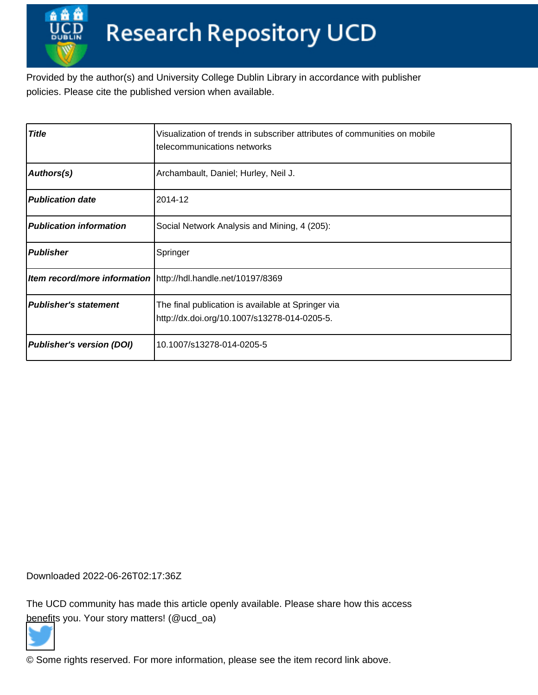Provided by the author(s) and University College Dublin Library in accordance with publisher policies. Please cite the published version when available.

| <b>Title</b>                     | Visualization of trends in subscriber attributes of communities on mobile<br>telecommunications networks |
|----------------------------------|----------------------------------------------------------------------------------------------------------|
| Authors(s)                       | Archambault, Daniel; Hurley, Neil J.                                                                     |
| <b>Publication date</b>          | 2014-12                                                                                                  |
| <b>Publication information</b>   | Social Network Analysis and Mining, 4 (205):                                                             |
| <b>Publisher</b>                 | Springer                                                                                                 |
|                                  | Item record/more information \http://hdl.handle.net/10197/8369                                           |
| <b>Publisher's statement</b>     | The final publication is available at Springer via<br>http://dx.doi.org/10.1007/s13278-014-0205-5.       |
| <b>Publisher's version (DOI)</b> | 10.1007/s13278-014-0205-5                                                                                |

Downloaded 2022-06-26T02:17:36Z

The UCD community has made this article openly available. Please share how this access [benefit](https://twitter.com/intent/tweet?via=ucd_oa&text=DOI%3A10.1007%2Fs13278-014-0205-5&url=http%3A%2F%2Fhdl.handle.net%2F10197%2F8369)s you. Your story matters! (@ucd\_oa)



© Some rights reserved. For more information, please see the item record link above.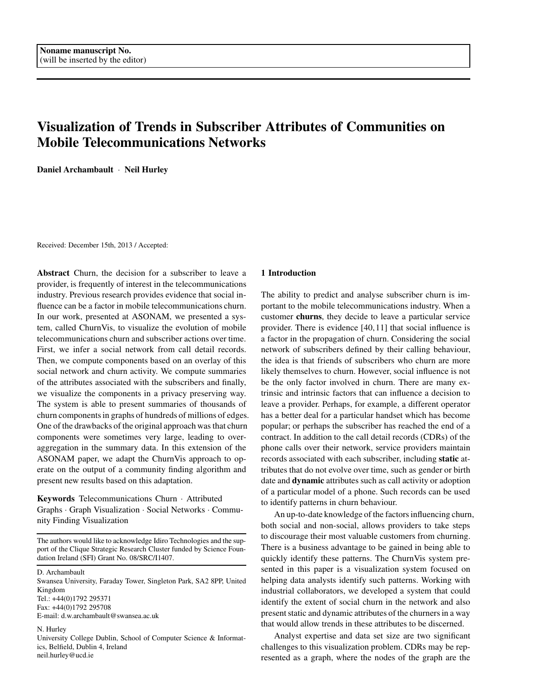# Visualization of Trends in Subscriber Attributes of Communities on Mobile Telecommunications Networks

Daniel Archambault · Neil Hurley

Received: December 15th, 2013 / Accepted:

Abstract Churn, the decision for a subscriber to leave a provider, is frequently of interest in the telecommunications industry. Previous research provides evidence that social influence can be a factor in mobile telecommunications churn. In our work, presented at ASONAM, we presented a system, called ChurnVis, to visualize the evolution of mobile telecommunications churn and subscriber actions over time. First, we infer a social network from call detail records. Then, we compute components based on an overlay of this social network and churn activity. We compute summaries of the attributes associated with the subscribers and finally, we visualize the components in a privacy preserving way. The system is able to present summaries of thousands of churn components in graphs of hundreds of millions of edges. One of the drawbacks of the original approach was that churn components were sometimes very large, leading to overaggregation in the summary data. In this extension of the ASONAM paper, we adapt the ChurnVis approach to operate on the output of a community finding algorithm and present new results based on this adaptation.

Keywords Telecommunications Churn · Attributed Graphs · Graph Visualization · Social Networks · Community Finding Visualization

D. Archambault

Swansea University, Faraday Tower, Singleton Park, SA2 8PP, United Kingdom Tel.: +44(0)1792 295371 Fax: +44(0)1792 295708 E-mail: d.w.archambault@swansea.ac.uk

N. Hurley

University College Dublin, School of Computer Science & Informatics, Belfield, Dublin 4, Ireland neil.hurley@ucd.ie

#### 1 Introduction

The ability to predict and analyse subscriber churn is important to the mobile telecommunications industry. When a customer churns, they decide to leave a particular service provider. There is evidence [40,11] that social influence is a factor in the propagation of churn. Considering the social network of subscribers defined by their calling behaviour, the idea is that friends of subscribers who churn are more likely themselves to churn. However, social influence is not be the only factor involved in churn. There are many extrinsic and intrinsic factors that can influence a decision to leave a provider. Perhaps, for example, a different operator has a better deal for a particular handset which has become popular; or perhaps the subscriber has reached the end of a contract. In addition to the call detail records (CDRs) of the phone calls over their network, service providers maintain records associated with each subscriber, including static attributes that do not evolve over time, such as gender or birth date and dynamic attributes such as call activity or adoption of a particular model of a phone. Such records can be used to identify patterns in churn behaviour.

An up-to-date knowledge of the factors influencing churn, both social and non-social, allows providers to take steps to discourage their most valuable customers from churning. There is a business advantage to be gained in being able to quickly identify these patterns. The ChurnVis system presented in this paper is a visualization system focused on helping data analysts identify such patterns. Working with industrial collaborators, we developed a system that could identify the extent of social churn in the network and also present static and dynamic attributes of the churners in a way that would allow trends in these attributes to be discerned.

Analyst expertise and data set size are two significant challenges to this visualization problem. CDRs may be represented as a graph, where the nodes of the graph are the

The authors would like to acknowledge Idiro Technologies and the support of the Clique Strategic Research Cluster funded by Science Foundation Ireland (SFI) Grant No. 08/SRC/I1407.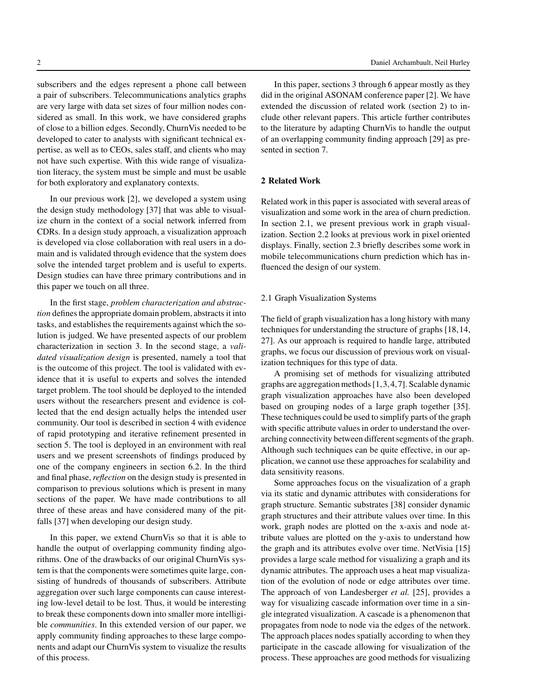subscribers and the edges represent a phone call between a pair of subscribers. Telecommunications analytics graphs are very large with data set sizes of four million nodes considered as small. In this work, we have considered graphs of close to a billion edges. Secondly, ChurnVis needed to be developed to cater to analysts with significant technical expertise, as well as to CEOs, sales staff, and clients who may not have such expertise. With this wide range of visualization literacy, the system must be simple and must be usable for both exploratory and explanatory contexts.

In our previous work [2], we developed a system using the design study methodology [37] that was able to visualize churn in the context of a social network inferred from CDRs. In a design study approach, a visualization approach is developed via close collaboration with real users in a domain and is validated through evidence that the system does solve the intended target problem and is useful to experts. Design studies can have three primary contributions and in this paper we touch on all three.

In the first stage, *problem characterization and abstraction* defines the appropriate domain problem, abstracts it into tasks, and establishes the requirements against which the solution is judged. We have presented aspects of our problem characterization in section 3. In the second stage, a *validated visualization design* is presented, namely a tool that is the outcome of this project. The tool is validated with evidence that it is useful to experts and solves the intended target problem. The tool should be deployed to the intended users without the researchers present and evidence is collected that the end design actually helps the intended user community. Our tool is described in section 4 with evidence of rapid prototyping and iterative refinement presented in section 5. The tool is deployed in an environment with real users and we present screenshots of findings produced by one of the company engineers in section 6.2. In the third and final phase, *reflection* on the design study is presented in comparison to previous solutions which is present in many sections of the paper. We have made contributions to all three of these areas and have considered many of the pitfalls [37] when developing our design study.

In this paper, we extend ChurnVis so that it is able to handle the output of overlapping community finding algorithms. One of the drawbacks of our original ChurnVis system is that the components were sometimes quite large, consisting of hundreds of thousands of subscribers. Attribute aggregation over such large components can cause interesting low-level detail to be lost. Thus, it would be interesting to break these components down into smaller more intelligible *communities*. In this extended version of our paper, we apply community finding approaches to these large components and adapt our ChurnVis system to visualize the results of this process.

In this paper, sections 3 through 6 appear mostly as they did in the original ASONAM conference paper [2]. We have extended the discussion of related work (section 2) to include other relevant papers. This article further contributes to the literature by adapting ChurnVis to handle the output of an overlapping community finding approach [29] as presented in section 7.

## 2 Related Work

Related work in this paper is associated with several areas of visualization and some work in the area of churn prediction. In section 2.1, we present previous work in graph visualization. Section 2.2 looks at previous work in pixel oriented displays. Finally, section 2.3 briefly describes some work in mobile telecommunications churn prediction which has influenced the design of our system.

# 2.1 Graph Visualization Systems

The field of graph visualization has a long history with many techniques for understanding the structure of graphs [18,14, 27]. As our approach is required to handle large, attributed graphs, we focus our discussion of previous work on visualization techniques for this type of data.

A promising set of methods for visualizing attributed graphs are aggregation methods [1,3,4,7]. Scalable dynamic graph visualization approaches have also been developed based on grouping nodes of a large graph together [35]. These techniques could be used to simplify parts of the graph with specific attribute values in order to understand the overarching connectivity between different segments of the graph. Although such techniques can be quite effective, in our application, we cannot use these approaches for scalability and data sensitivity reasons.

Some approaches focus on the visualization of a graph via its static and dynamic attributes with considerations for graph structure. Semantic substrates [38] consider dynamic graph structures and their attribute values over time. In this work, graph nodes are plotted on the x-axis and node attribute values are plotted on the y-axis to understand how the graph and its attributes evolve over time. NetVisia [15] provides a large scale method for visualizing a graph and its dynamic attributes. The approach uses a heat map visualization of the evolution of node or edge attributes over time. The approach of von Landesberger *et al.* [25], provides a way for visualizing cascade information over time in a single integrated visualization. A cascade is a phenomenon that propagates from node to node via the edges of the network. The approach places nodes spatially according to when they participate in the cascade allowing for visualization of the process. These approaches are good methods for visualizing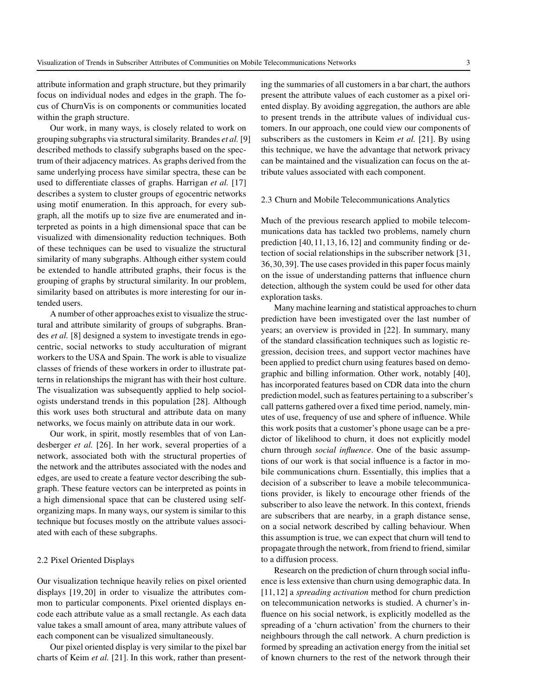attribute information and graph structure, but they primarily focus on individual nodes and edges in the graph. The focus of ChurnVis is on components or communities located within the graph structure.

Our work, in many ways, is closely related to work on grouping subgraphs via structural similarity. Brandes *et al.* [9] described methods to classify subgraphs based on the spectrum of their adjacency matrices. As graphs derived from the same underlying process have similar spectra, these can be used to differentiate classes of graphs. Harrigan *et al.* [17] describes a system to cluster groups of egocentric networks using motif enumeration. In this approach, for every subgraph, all the motifs up to size five are enumerated and interpreted as points in a high dimensional space that can be visualized with dimensionality reduction techniques. Both of these techniques can be used to visualize the structural similarity of many subgraphs. Although either system could be extended to handle attributed graphs, their focus is the grouping of graphs by structural similarity. In our problem, similarity based on attributes is more interesting for our intended users.

A number of other approaches exist to visualize the structural and attribute similarity of groups of subgraphs. Brandes *et al.* [8] designed a system to investigate trends in egocentric, social networks to study acculturation of migrant workers to the USA and Spain. The work is able to visualize classes of friends of these workers in order to illustrate patterns in relationships the migrant has with their host culture. The visualization was subsequently applied to help sociologists understand trends in this population [28]. Although this work uses both structural and attribute data on many networks, we focus mainly on attribute data in our work.

Our work, in spirit, mostly resembles that of von Landesberger *et al.* [26]. In her work, several properties of a network, associated both with the structural properties of the network and the attributes associated with the nodes and edges, are used to create a feature vector describing the subgraph. These feature vectors can be interpreted as points in a high dimensional space that can be clustered using selforganizing maps. In many ways, our system is similar to this technique but focuses mostly on the attribute values associated with each of these subgraphs.

# 2.2 Pixel Oriented Displays

Our visualization technique heavily relies on pixel oriented displays [19,20] in order to visualize the attributes common to particular components. Pixel oriented displays encode each attribute value as a small rectangle. As each data value takes a small amount of area, many attribute values of each component can be visualized simultaneously.

Our pixel oriented display is very similar to the pixel bar charts of Keim *et al.* [21]. In this work, rather than presenting the summaries of all customers in a bar chart, the authors present the attribute values of each customer as a pixel oriented display. By avoiding aggregation, the authors are able to present trends in the attribute values of individual customers. In our approach, one could view our components of subscribers as the customers in Keim *et al.* [21]. By using this technique, we have the advantage that network privacy can be maintained and the visualization can focus on the attribute values associated with each component.

## 2.3 Churn and Mobile Telecommunications Analytics

Much of the previous research applied to mobile telecommunications data has tackled two problems, namely churn prediction [40,11,13,16,12] and community finding or detection of social relationships in the subscriber network [31, 36,30,39]. The use cases provided in this paper focus mainly on the issue of understanding patterns that influence churn detection, although the system could be used for other data exploration tasks.

Many machine learning and statistical approaches to churn prediction have been investigated over the last number of years; an overview is provided in [22]. In summary, many of the standard classification techniques such as logistic regression, decision trees, and support vector machines have been applied to predict churn using features based on demographic and billing information. Other work, notably [40], has incorporated features based on CDR data into the churn prediction model, such as features pertaining to a subscriber's call patterns gathered over a fixed time period, namely, minutes of use, frequency of use and sphere of influence. While this work posits that a customer's phone usage can be a predictor of likelihood to churn, it does not explicitly model churn through *social influence*. One of the basic assumptions of our work is that social influence is a factor in mobile communications churn. Essentially, this implies that a decision of a subscriber to leave a mobile telecommunications provider, is likely to encourage other friends of the subscriber to also leave the network. In this context, friends are subscribers that are nearby, in a graph distance sense, on a social network described by calling behaviour. When this assumption is true, we can expect that churn will tend to propagate through the network, from friend to friend, similar to a diffusion process.

Research on the prediction of churn through social influence is less extensive than churn using demographic data. In [11,12] a *spreading activation* method for churn prediction on telecommunication networks is studied. A churner's influence on his social network, is explicitly modelled as the spreading of a 'churn activation' from the churners to their neighbours through the call network. A churn prediction is formed by spreading an activation energy from the initial set of known churners to the rest of the network through their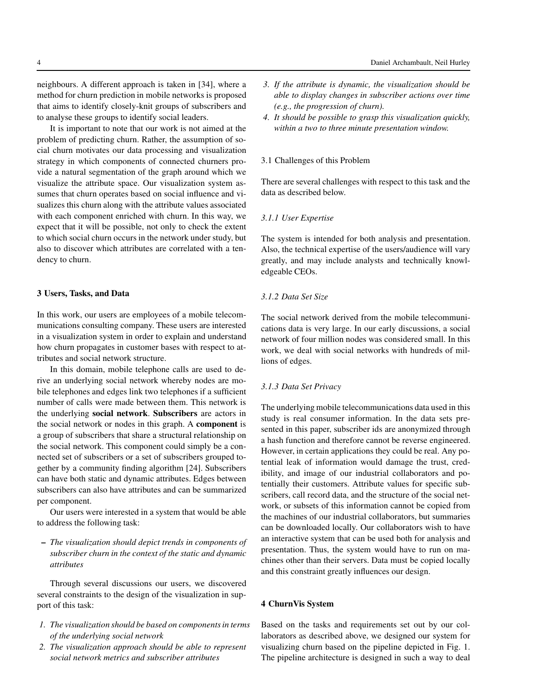neighbours. A different approach is taken in [34], where a method for churn prediction in mobile networks is proposed that aims to identify closely-knit groups of subscribers and to analyse these groups to identify social leaders.

It is important to note that our work is not aimed at the problem of predicting churn. Rather, the assumption of social churn motivates our data processing and visualization strategy in which components of connected churners provide a natural segmentation of the graph around which we visualize the attribute space. Our visualization system assumes that churn operates based on social influence and visualizes this churn along with the attribute values associated with each component enriched with churn. In this way, we expect that it will be possible, not only to check the extent to which social churn occurs in the network under study, but also to discover which attributes are correlated with a tendency to churn.

## 3 Users, Tasks, and Data

In this work, our users are employees of a mobile telecommunications consulting company. These users are interested in a visualization system in order to explain and understand how churn propagates in customer bases with respect to attributes and social network structure.

In this domain, mobile telephone calls are used to derive an underlying social network whereby nodes are mobile telephones and edges link two telephones if a sufficient number of calls were made between them. This network is the underlying social network. Subscribers are actors in the social network or nodes in this graph. A component is a group of subscribers that share a structural relationship on the social network. This component could simply be a connected set of subscribers or a set of subscribers grouped together by a community finding algorithm [24]. Subscribers can have both static and dynamic attributes. Edges between subscribers can also have attributes and can be summarized per component.

Our users were interested in a system that would be able to address the following task:

– *The visualization should depict trends in components of subscriber churn in the context of the static and dynamic attributes*

Through several discussions our users, we discovered several constraints to the design of the visualization in support of this task:

- *1. The visualization should be based on components in terms of the underlying social network*
- *2. The visualization approach should be able to represent social network metrics and subscriber attributes*
- *3. If the attribute is dynamic, the visualization should be able to display changes in subscriber actions over time (e.g., the progression of churn).*
- *4. It should be possible to grasp this visualization quickly, within a two to three minute presentation window.*

#### 3.1 Challenges of this Problem

There are several challenges with respect to this task and the data as described below.

# *3.1.1 User Expertise*

The system is intended for both analysis and presentation. Also, the technical expertise of the users/audience will vary greatly, and may include analysts and technically knowledgeable CEOs.

# *3.1.2 Data Set Size*

The social network derived from the mobile telecommunications data is very large. In our early discussions, a social network of four million nodes was considered small. In this work, we deal with social networks with hundreds of millions of edges.

# *3.1.3 Data Set Privacy*

The underlying mobile telecommunications data used in this study is real consumer information. In the data sets presented in this paper, subscriber ids are anonymized through a hash function and therefore cannot be reverse engineered. However, in certain applications they could be real. Any potential leak of information would damage the trust, credibility, and image of our industrial collaborators and potentially their customers. Attribute values for specific subscribers, call record data, and the structure of the social network, or subsets of this information cannot be copied from the machines of our industrial collaborators, but summaries can be downloaded locally. Our collaborators wish to have an interactive system that can be used both for analysis and presentation. Thus, the system would have to run on machines other than their servers. Data must be copied locally and this constraint greatly influences our design.

# 4 ChurnVis System

Based on the tasks and requirements set out by our collaborators as described above, we designed our system for visualizing churn based on the pipeline depicted in Fig. 1. The pipeline architecture is designed in such a way to deal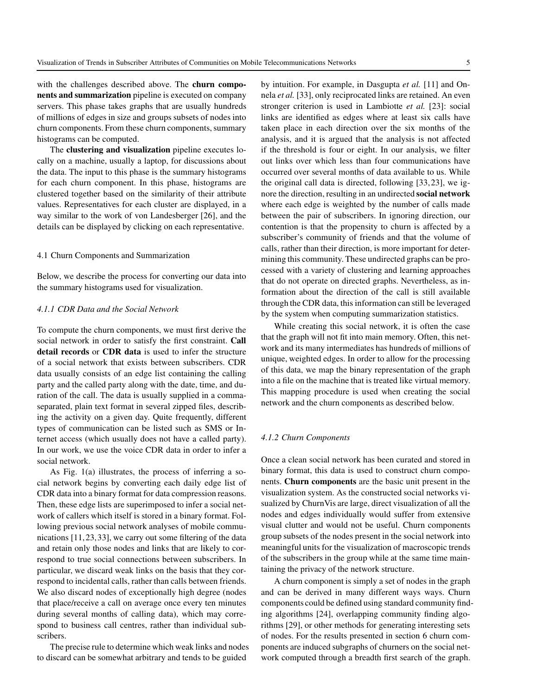with the challenges described above. The churn components and summarization pipeline is executed on company servers. This phase takes graphs that are usually hundreds of millions of edges in size and groups subsets of nodes into churn components. From these churn components, summary histograms can be computed.

The clustering and visualization pipeline executes locally on a machine, usually a laptop, for discussions about the data. The input to this phase is the summary histograms for each churn component. In this phase, histograms are clustered together based on the similarity of their attribute values. Representatives for each cluster are displayed, in a way similar to the work of von Landesberger [26], and the details can be displayed by clicking on each representative.

## 4.1 Churn Components and Summarization

Below, we describe the process for converting our data into the summary histograms used for visualization.

# *4.1.1 CDR Data and the Social Network*

To compute the churn components, we must first derive the social network in order to satisfy the first constraint. Call detail records or CDR data is used to infer the structure of a social network that exists between subscribers. CDR data usually consists of an edge list containing the calling party and the called party along with the date, time, and duration of the call. The data is usually supplied in a commaseparated, plain text format in several zipped files, describing the activity on a given day. Quite frequently, different types of communication can be listed such as SMS or Internet access (which usually does not have a called party). In our work, we use the voice CDR data in order to infer a social network.

As Fig. 1(a) illustrates, the process of inferring a social network begins by converting each daily edge list of CDR data into a binary format for data compression reasons. Then, these edge lists are superimposed to infer a social network of callers which itself is stored in a binary format. Following previous social network analyses of mobile communications [11,23,33], we carry out some filtering of the data and retain only those nodes and links that are likely to correspond to true social connections between subscribers. In particular, we discard weak links on the basis that they correspond to incidental calls, rather than calls between friends. We also discard nodes of exceptionally high degree (nodes that place/receive a call on average once every ten minutes during several months of calling data), which may correspond to business call centres, rather than individual subscribers.

The precise rule to determine which weak links and nodes to discard can be somewhat arbitrary and tends to be guided

by intuition. For example, in Dasgupta *et al.* [11] and Onnela *et al.* [33], only reciprocated links are retained. An even stronger criterion is used in Lambiotte *et al.* [23]: social links are identified as edges where at least six calls have taken place in each direction over the six months of the analysis, and it is argued that the analysis is not affected if the threshold is four or eight. In our analysis, we filter out links over which less than four communications have occurred over several months of data available to us. While the original call data is directed, following [33,23], we ignore the direction, resulting in an undirected social network where each edge is weighted by the number of calls made between the pair of subscribers. In ignoring direction, our contention is that the propensity to churn is affected by a subscriber's community of friends and that the volume of calls, rather than their direction, is more important for determining this community. These undirected graphs can be processed with a variety of clustering and learning approaches that do not operate on directed graphs. Nevertheless, as information about the direction of the call is still available through the CDR data, this information can still be leveraged by the system when computing summarization statistics.

While creating this social network, it is often the case that the graph will not fit into main memory. Often, this network and its many intermediates has hundreds of millions of unique, weighted edges. In order to allow for the processing of this data, we map the binary representation of the graph into a file on the machine that is treated like virtual memory. This mapping procedure is used when creating the social network and the churn components as described below.

#### *4.1.2 Churn Components*

Once a clean social network has been curated and stored in binary format, this data is used to construct churn components. Churn components are the basic unit present in the visualization system. As the constructed social networks visualized by ChurnVis are large, direct visualization of all the nodes and edges individually would suffer from extensive visual clutter and would not be useful. Churn components group subsets of the nodes present in the social network into meaningful units for the visualization of macroscopic trends of the subscribers in the group while at the same time maintaining the privacy of the network structure.

A churn component is simply a set of nodes in the graph and can be derived in many different ways ways. Churn components could be defined using standard community finding algorithms [24], overlapping community finding algorithms [29], or other methods for generating interesting sets of nodes. For the results presented in section 6 churn components are induced subgraphs of churners on the social network computed through a breadth first search of the graph.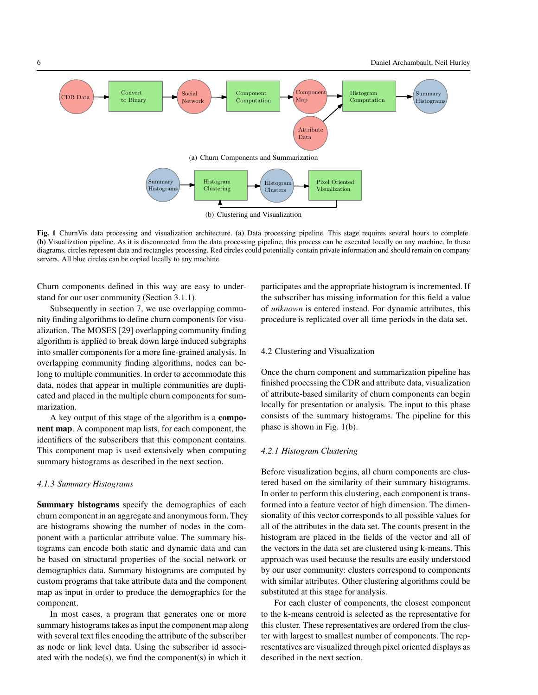

Fig. 1 ChurnVis data processing and visualization architecture. (a) Data processing pipeline. This stage requires several hours to complete. (b) Visualization pipeline. As it is disconnected from the data processing pipeline, this process can be executed locally on any machine. In these diagrams, circles represent data and rectangles processing. Red circles could potentially contain private information and should remain on company servers. All blue circles can be copied locally to any machine.

Churn components defined in this way are easy to understand for our user community (Section 3.1.1).

Subsequently in section 7, we use overlapping community finding algorithms to define churn components for visualization. The MOSES [29] overlapping community finding algorithm is applied to break down large induced subgraphs into smaller components for a more fine-grained analysis. In overlapping community finding algorithms, nodes can belong to multiple communities. In order to accommodate this data, nodes that appear in multiple communities are duplicated and placed in the multiple churn components for summarization.

A key output of this stage of the algorithm is a component map. A component map lists, for each component, the identifiers of the subscribers that this component contains. This component map is used extensively when computing summary histograms as described in the next section.

#### *4.1.3 Summary Histograms*

Summary histograms specify the demographics of each churn component in an aggregate and anonymous form. They are histograms showing the number of nodes in the component with a particular attribute value. The summary histograms can encode both static and dynamic data and can be based on structural properties of the social network or demographics data. Summary histograms are computed by custom programs that take attribute data and the component map as input in order to produce the demographics for the component.

In most cases, a program that generates one or more summary histograms takes as input the component map along with several text files encoding the attribute of the subscriber as node or link level data. Using the subscriber id associated with the node(s), we find the component(s) in which it

participates and the appropriate histogram is incremented. If the subscriber has missing information for this field a value of *unknown* is entered instead. For dynamic attributes, this procedure is replicated over all time periods in the data set.

#### 4.2 Clustering and Visualization

Once the churn component and summarization pipeline has finished processing the CDR and attribute data, visualization of attribute-based similarity of churn components can begin locally for presentation or analysis. The input to this phase consists of the summary histograms. The pipeline for this phase is shown in Fig. 1(b).

#### *4.2.1 Histogram Clustering*

Before visualization begins, all churn components are clustered based on the similarity of their summary histograms. In order to perform this clustering, each component is transformed into a feature vector of high dimension. The dimensionality of this vector corresponds to all possible values for all of the attributes in the data set. The counts present in the histogram are placed in the fields of the vector and all of the vectors in the data set are clustered using k-means. This approach was used because the results are easily understood by our user community: clusters correspond to components with similar attributes. Other clustering algorithms could be substituted at this stage for analysis.

For each cluster of components, the closest component to the k-means centroid is selected as the representative for this cluster. These representatives are ordered from the cluster with largest to smallest number of components. The representatives are visualized through pixel oriented displays as described in the next section.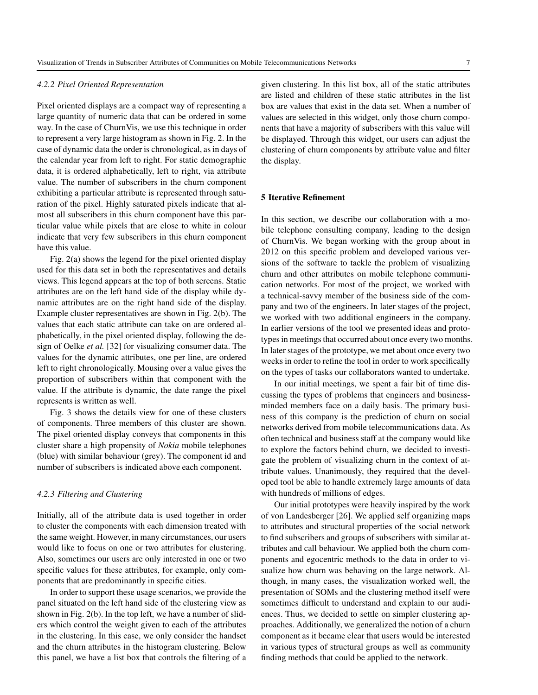#### *4.2.2 Pixel Oriented Representation*

Pixel oriented displays are a compact way of representing a large quantity of numeric data that can be ordered in some way. In the case of ChurnVis, we use this technique in order to represent a very large histogram as shown in Fig. 2. In the case of dynamic data the order is chronological, as in days of the calendar year from left to right. For static demographic data, it is ordered alphabetically, left to right, via attribute value. The number of subscribers in the churn component exhibiting a particular attribute is represented through saturation of the pixel. Highly saturated pixels indicate that almost all subscribers in this churn component have this particular value while pixels that are close to white in colour indicate that very few subscribers in this churn component have this value.

Fig. 2(a) shows the legend for the pixel oriented display used for this data set in both the representatives and details views. This legend appears at the top of both screens. Static attributes are on the left hand side of the display while dynamic attributes are on the right hand side of the display. Example cluster representatives are shown in Fig. 2(b). The values that each static attribute can take on are ordered alphabetically, in the pixel oriented display, following the design of Oelke *et al.* [32] for visualizing consumer data. The values for the dynamic attributes, one per line, are ordered left to right chronologically. Mousing over a value gives the proportion of subscribers within that component with the value. If the attribute is dynamic, the date range the pixel represents is written as well.

Fig. 3 shows the details view for one of these clusters of components. Three members of this cluster are shown. The pixel oriented display conveys that components in this cluster share a high propensity of *Nokia* mobile telephones (blue) with similar behaviour (grey). The component id and number of subscribers is indicated above each component.

#### *4.2.3 Filtering and Clustering*

Initially, all of the attribute data is used together in order to cluster the components with each dimension treated with the same weight. However, in many circumstances, our users would like to focus on one or two attributes for clustering. Also, sometimes our users are only interested in one or two specific values for these attributes, for example, only components that are predominantly in specific cities.

In order to support these usage scenarios, we provide the panel situated on the left hand side of the clustering view as shown in Fig. 2(b). In the top left, we have a number of sliders which control the weight given to each of the attributes in the clustering. In this case, we only consider the handset and the churn attributes in the histogram clustering. Below this panel, we have a list box that controls the filtering of a

given clustering. In this list box, all of the static attributes are listed and children of these static attributes in the list box are values that exist in the data set. When a number of values are selected in this widget, only those churn components that have a majority of subscribers with this value will be displayed. Through this widget, our users can adjust the clustering of churn components by attribute value and filter the display.

# 5 Iterative Refinement

In this section, we describe our collaboration with a mobile telephone consulting company, leading to the design of ChurnVis. We began working with the group about in 2012 on this specific problem and developed various versions of the software to tackle the problem of visualizing churn and other attributes on mobile telephone communication networks. For most of the project, we worked with a technical-savvy member of the business side of the company and two of the engineers. In later stages of the project, we worked with two additional engineers in the company. In earlier versions of the tool we presented ideas and prototypes in meetings that occurred about once every two months. In later stages of the prototype, we met about once every two weeks in order to refine the tool in order to work specifically on the types of tasks our collaborators wanted to undertake.

In our initial meetings, we spent a fair bit of time discussing the types of problems that engineers and businessminded members face on a daily basis. The primary business of this company is the prediction of churn on social networks derived from mobile telecommunications data. As often technical and business staff at the company would like to explore the factors behind churn, we decided to investigate the problem of visualizing churn in the context of attribute values. Unanimously, they required that the developed tool be able to handle extremely large amounts of data with hundreds of millions of edges.

Our initial prototypes were heavily inspired by the work of von Landesberger [26]. We applied self organizing maps to attributes and structural properties of the social network to find subscribers and groups of subscribers with similar attributes and call behaviour. We applied both the churn components and egocentric methods to the data in order to visualize how churn was behaving on the large network. Although, in many cases, the visualization worked well, the presentation of SOMs and the clustering method itself were sometimes difficult to understand and explain to our audiences. Thus, we decided to settle on simpler clustering approaches. Additionally, we generalized the notion of a churn component as it became clear that users would be interested in various types of structural groups as well as community finding methods that could be applied to the network.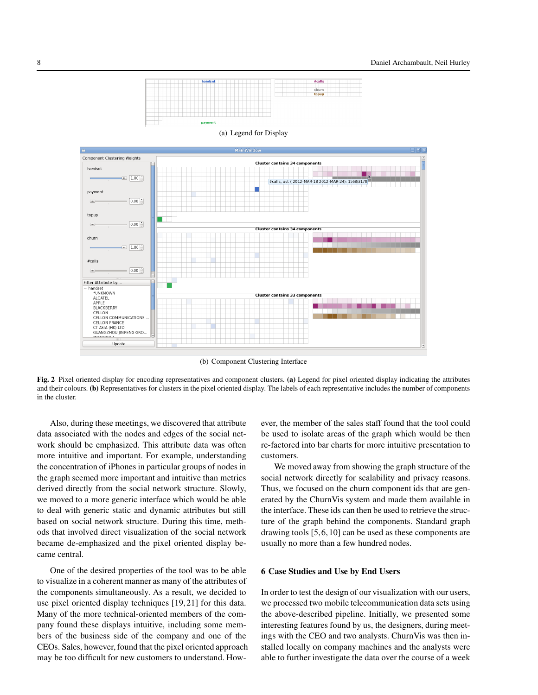

(b) Component Clustering Interface

Fig. 2 Pixel oriented display for encoding representatives and component clusters. (a) Legend for pixel oriented display indicating the attributes and their colours. (b) Representatives for clusters in the pixel oriented display. The labels of each representative includes the number of components in the cluster.

Also, during these meetings, we discovered that attribute data associated with the nodes and edges of the social network should be emphasized. This attribute data was often more intuitive and important. For example, understanding the concentration of iPhones in particular groups of nodes in the graph seemed more important and intuitive than metrics derived directly from the social network structure. Slowly, we moved to a more generic interface which would be able to deal with generic static and dynamic attributes but still based on social network structure. During this time, methods that involved direct visualization of the social network became de-emphasized and the pixel oriented display became central.

One of the desired properties of the tool was to be able to visualize in a coherent manner as many of the attributes of the components simultaneously. As a result, we decided to use pixel oriented display techniques [19,21] for this data. Many of the more technical-oriented members of the company found these displays intuitive, including some members of the business side of the company and one of the CEOs. Sales, however, found that the pixel oriented approach may be too difficult for new customers to understand. However, the member of the sales staff found that the tool could be used to isolate areas of the graph which would be then re-factored into bar charts for more intuitive presentation to customers.

We moved away from showing the graph structure of the social network directly for scalability and privacy reasons. Thus, we focused on the churn component ids that are generated by the ChurnVis system and made them available in the interface. These ids can then be used to retrieve the structure of the graph behind the components. Standard graph drawing tools [5,6,10] can be used as these components are usually no more than a few hundred nodes.

#### 6 Case Studies and Use by End Users

In order to test the design of our visualization with our users, we processed two mobile telecommunication data sets using the above-described pipeline. Initially, we presented some interesting features found by us, the designers, during meetings with the CEO and two analysts. ChurnVis was then installed locally on company machines and the analysts were able to further investigate the data over the course of a week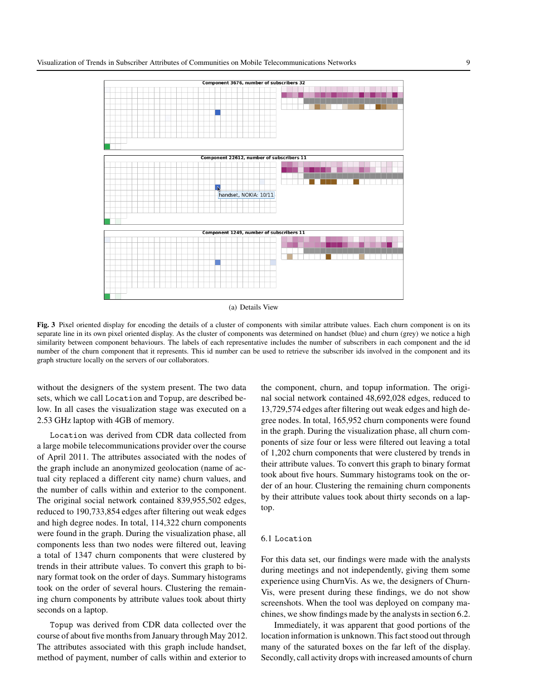

Fig. 3 Pixel oriented display for encoding the details of a cluster of components with similar attribute values. Each churn component is on its separate line in its own pixel oriented display. As the cluster of components was determined on handset (blue) and churn (grey) we notice a high similarity between component behaviours. The labels of each representative includes the number of subscribers in each component and the id number of the churn component that it represents. This id number can be used to retrieve the subscriber ids involved in the component and its graph structure locally on the servers of our collaborators.

without the designers of the system present. The two data sets, which we call Location and Topup, are described below. In all cases the visualization stage was executed on a 2.53 GHz laptop with 4GB of memory.

Location was derived from CDR data collected from a large mobile telecommunications provider over the course of April 2011. The attributes associated with the nodes of the graph include an anonymized geolocation (name of actual city replaced a different city name) churn values, and the number of calls within and exterior to the component. The original social network contained 839,955,502 edges, reduced to 190,733,854 edges after filtering out weak edges and high degree nodes. In total, 114,322 churn components were found in the graph. During the visualization phase, all components less than two nodes were filtered out, leaving a total of 1347 churn components that were clustered by trends in their attribute values. To convert this graph to binary format took on the order of days. Summary histograms took on the order of several hours. Clustering the remaining churn components by attribute values took about thirty seconds on a laptop.

Topup was derived from CDR data collected over the course of about five months from January through May 2012. The attributes associated with this graph include handset, method of payment, number of calls within and exterior to

the component, churn, and topup information. The original social network contained 48,692,028 edges, reduced to 13,729,574 edges after filtering out weak edges and high degree nodes. In total, 165,952 churn components were found in the graph. During the visualization phase, all churn components of size four or less were filtered out leaving a total of 1,202 churn components that were clustered by trends in their attribute values. To convert this graph to binary format took about five hours. Summary histograms took on the order of an hour. Clustering the remaining churn components by their attribute values took about thirty seconds on a laptop.

#### 6.1 Location

For this data set, our findings were made with the analysts during meetings and not independently, giving them some experience using ChurnVis. As we, the designers of Churn-Vis, were present during these findings, we do not show screenshots. When the tool was deployed on company machines, we show findings made by the analysts in section 6.2.

Immediately, it was apparent that good portions of the location information is unknown. This fact stood out through many of the saturated boxes on the far left of the display. Secondly, call activity drops with increased amounts of churn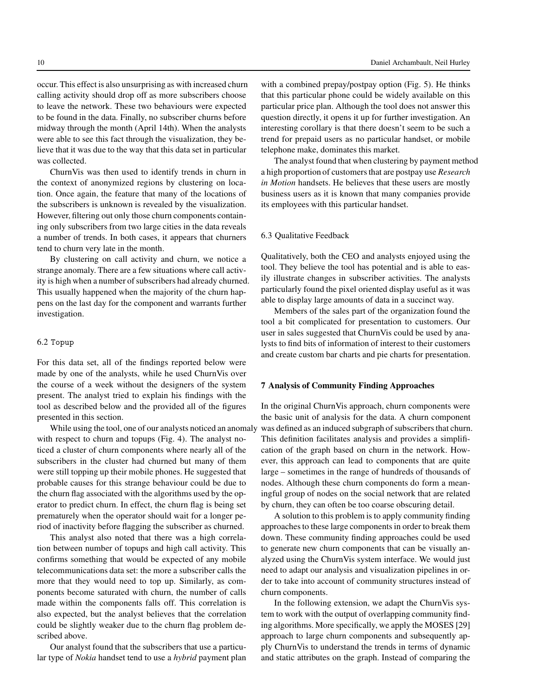occur. This effect is also unsurprising as with increased churn calling activity should drop off as more subscribers choose to leave the network. These two behaviours were expected to be found in the data. Finally, no subscriber churns before midway through the month (April 14th). When the analysts were able to see this fact through the visualization, they believe that it was due to the way that this data set in particular was collected.

ChurnVis was then used to identify trends in churn in the context of anonymized regions by clustering on location. Once again, the feature that many of the locations of the subscribers is unknown is revealed by the visualization. However, filtering out only those churn components containing only subscribers from two large cities in the data reveals a number of trends. In both cases, it appears that churners tend to churn very late in the month.

By clustering on call activity and churn, we notice a strange anomaly. There are a few situations where call activity is high when a number of subscribers had already churned. This usually happened when the majority of the churn happens on the last day for the component and warrants further investigation.

# 6.2 Topup

For this data set, all of the findings reported below were made by one of the analysts, while he used ChurnVis over the course of a week without the designers of the system present. The analyst tried to explain his findings with the tool as described below and the provided all of the figures presented in this section.

While using the tool, one of our analysts noticed an anomaly with respect to churn and topups (Fig. 4). The analyst noticed a cluster of churn components where nearly all of the subscribers in the cluster had churned but many of them were still topping up their mobile phones. He suggested that probable causes for this strange behaviour could be due to the churn flag associated with the algorithms used by the operator to predict churn. In effect, the churn flag is being set prematurely when the operator should wait for a longer period of inactivity before flagging the subscriber as churned.

This analyst also noted that there was a high correlation between number of topups and high call activity. This confirms something that would be expected of any mobile telecommunications data set: the more a subscriber calls the more that they would need to top up. Similarly, as components become saturated with churn, the number of calls made within the components falls off. This correlation is also expected, but the analyst believes that the correlation could be slightly weaker due to the churn flag problem described above.

Our analyst found that the subscribers that use a particular type of *Nokia* handset tend to use a *hybrid* payment plan with a combined prepay/postpay option (Fig. 5). He thinks that this particular phone could be widely available on this particular price plan. Although the tool does not answer this question directly, it opens it up for further investigation. An interesting corollary is that there doesn't seem to be such a trend for prepaid users as no particular handset, or mobile telephone make, dominates this market.

The analyst found that when clustering by payment method a high proportion of customers that are postpay use *Research in Motion* handsets. He believes that these users are mostly business users as it is known that many companies provide its employees with this particular handset.

# 6.3 Qualitative Feedback

Qualitatively, both the CEO and analysts enjoyed using the tool. They believe the tool has potential and is able to easily illustrate changes in subscriber activities. The analysts particularly found the pixel oriented display useful as it was able to display large amounts of data in a succinct way.

Members of the sales part of the organization found the tool a bit complicated for presentation to customers. Our user in sales suggested that ChurnVis could be used by analysts to find bits of information of interest to their customers and create custom bar charts and pie charts for presentation.

# 7 Analysis of Community Finding Approaches

In the original ChurnVis approach, churn components were the basic unit of analysis for the data. A churn component was defined as an induced subgraph of subscribers that churn. This definition facilitates analysis and provides a simplification of the graph based on churn in the network. However, this approach can lead to components that are quite large – sometimes in the range of hundreds of thousands of nodes. Although these churn components do form a meaningful group of nodes on the social network that are related by churn, they can often be too coarse obscuring detail.

A solution to this problem is to apply community finding approaches to these large components in order to break them down. These community finding approaches could be used to generate new churn components that can be visually analyzed using the ChurnVis system interface. We would just need to adapt our analysis and visualization pipelines in order to take into account of community structures instead of churn components.

In the following extension, we adapt the ChurnVis system to work with the output of overlapping community finding algorithms. More specifically, we apply the MOSES [29] approach to large churn components and subsequently apply ChurnVis to understand the trends in terms of dynamic and static attributes on the graph. Instead of comparing the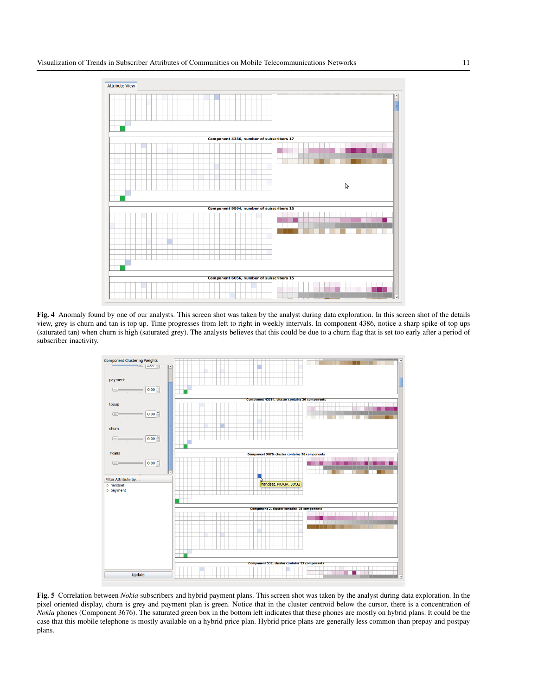

Fig. 4 Anomaly found by one of our analysts. This screen shot was taken by the analyst during data exploration. In this screen shot of the details view, grey is churn and tan is top up. Time progresses from left to right in weekly intervals. In component 4386, notice a sharp spike of top ups (saturated tan) when churn is high (saturated grey). The analysts believes that this could be due to a churn flag that is set too early after a period of subscriber inactivity.



Fig. 5 Correlation between *Nokia* subscribers and hybrid payment plans. This screen shot was taken by the analyst during data exploration. In the pixel oriented display, churn is grey and payment plan is green. Notice that in the cluster centroid below the cursor, there is a concentration of *Nokia* phones (Component 3676). The saturated green box in the bottom left indicates that these phones are mostly on hybrid plans. It could be the case that this mobile telephone is mostly available on a hybrid price plan. Hybrid price plans are generally less common than prepay and postpay plans.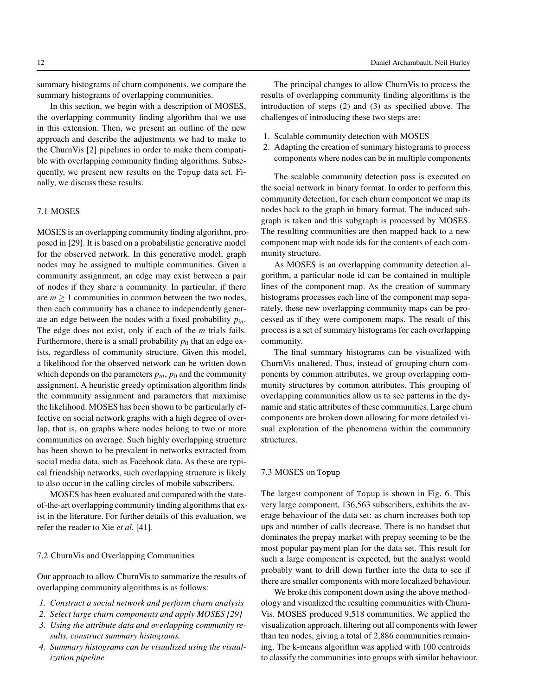summary histograms of churn components, we compare the summary histograms of overlapping communities.

In this section, we begin with a description of MOSES, the overlapping community finding algorithm that we use in this extension. Then, we present an outline of the new approach and describe the adjustments we had to make to the ChurnVis [2] pipelines in order to make them compatible with overlapping community finding algorithms. Subsequently, we present new results on the Topup data set. Finally, we discuss these results.

# 7.1 MOSES

MOSES is an overlapping community finding algorithm, proposed in [29]. It is based on a probabilistic generative model for the observed network. In this generative model, graph nodes may be assigned to multiple communities. Given a community assignment, an edge may exist between a pair of nodes if they share a community. In particular, if there are  $m \geq 1$  communities in common between the two nodes, then each community has a chance to independently generate an edge between the nodes with a fixed probability *pin*. The edge does not exist, only if each of the *m* trials fails. Furthermore, there is a small probability  $p_0$  that an edge exists, regardless of community structure. Given this model, a likelihood for the observed network can be written down which depends on the parameters  $p_{in}$ ,  $p_0$  and the community assignment. A heuristic greedy optimisation algorithm finds the community assignment and parameters that maximise the likelihood. MOSES has been shown to be particularly effective on social network graphs with a high degree of overlap, that is, on graphs where nodes belong to two or more communities on average. Such highly overlapping structure has been shown to be prevalent in networks extracted from social media data, such as Facebook data. As these are typical friendship networks, such overlapping structure is likely to also occur in the calling circles of mobile subscribers.

MOSES has been evaluated and compared with the stateof-the-art overlapping community finding algorithms that exist in the literature. For further details of this evaluation, we refer the reader to Xie *et al.* [41].

# 7.2 ChurnVis and Overlapping Communities

Our approach to allow ChurnVis to summarize the results of overlapping community algorithms is as follows:

- *1. Construct a social network and perform churn analysis*
- *2. Select large churn components and apply MOSES [29]*
- *3. Using the attribute data and overlapping community results, construct summary histograms.*
- *4. Summary histograms can be visualized using the visualization pipeline*

The principal changes to allow ChurnVis to process the results of overlapping community finding algorithms is the introduction of steps (2) and (3) as specified above. The challenges of introducing these two steps are:

- 1. Scalable community detection with MOSES
- 2. Adapting the creation of summary histograms to process components where nodes can be in multiple components

The scalable community detection pass is executed on the social network in binary format. In order to perform this community detection, for each churn component we map its nodes back to the graph in binary format. The induced subgraph is taken and this subgraph is processed by MOSES. The resulting communities are then mapped back to a new component map with node ids for the contents of each community structure.

As MOSES is an overlapping community detection algorithm, a particular node id can be contained in multiple lines of the component map. As the creation of summary histograms processes each line of the component map separately, these new overlapping community maps can be processed as if they were component maps. The result of this process is a set of summary histograms for each overlapping community.

The final summary histograms can be visualized with ChurnVis unaltered. Thus, instead of grouping churn components by common attributes, we group overlapping community structures by common attributes. This grouping of overlapping communities allow us to see patterns in the dynamic and static attributes of these communities. Large churn components are broken down allowing for more detailed visual exploration of the phenomena within the community structures.

# 7.3 MOSES on Topup

The largest component of Topup is shown in Fig. 6. This very large component, 136,563 subscribers, exhibits the average behaviour of the data set: as churn increases both top ups and number of calls decrease. There is no handset that dominates the prepay market with prepay seeming to be the most popular payment plan for the data set. This result for such a large component is expected, but the analyst would probably want to drill down further into the data to see if there are smaller components with more localized behaviour.

We broke this component down using the above methodology and visualized the resulting communities with Churn-Vis. MOSES produced 9,518 communities. We applied the visualization approach, filtering out all components with fewer than ten nodes, giving a total of 2,886 communities remaining. The k-means algorithm was applied with 100 centroids to classify the communities into groups with similar behaviour.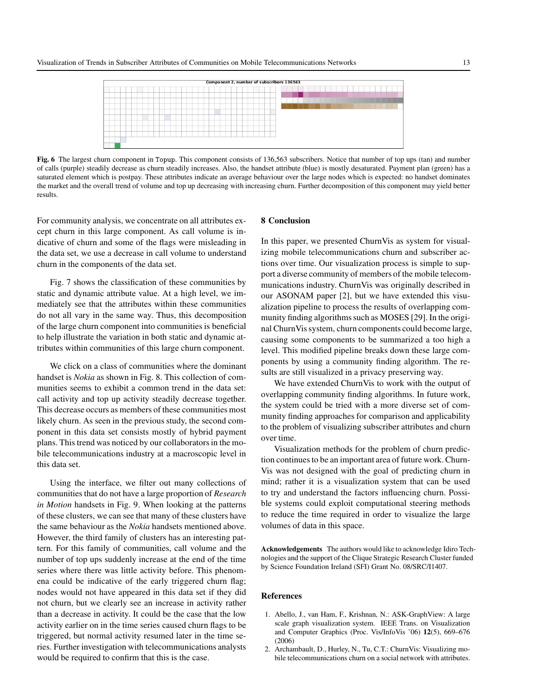

Fig. 6 The largest churn component in Topup. This component consists of 136,563 subscribers. Notice that number of top ups (tan) and number of calls (purple) steadily decrease as churn steadily increases. Also, the handset attribute (blue) is mostly desaturated. Payment plan (green) has a saturated element which is postpay. These attributes indicate an average behaviour over the large nodes which is expected: no handset dominates the market and the overall trend of volume and top up decreasing with increasing churn. Further decomposition of this component may yield better results.

For community analysis, we concentrate on all attributes except churn in this large component. As call volume is indicative of churn and some of the flags were misleading in the data set, we use a decrease in call volume to understand churn in the components of the data set.

Fig. 7 shows the classification of these communities by static and dynamic attribute value. At a high level, we immediately see that the attributes within these communities do not all vary in the same way. Thus, this decomposition of the large churn component into communities is beneficial to help illustrate the variation in both static and dynamic attributes within communities of this large churn component.

We click on a class of communities where the dominant handset is *Nokia* as shown in Fig. 8. This collection of communities seems to exhibit a common trend in the data set: call activity and top up activity steadily decrease together. This decrease occurs as members of these communities most likely churn. As seen in the previous study, the second component in this data set consists mostly of hybrid payment plans. This trend was noticed by our collaborators in the mobile telecommunications industry at a macroscopic level in this data set.

Using the interface, we filter out many collections of communities that do not have a large proportion of *Research in Motion* handsets in Fig. 9. When looking at the patterns of these clusters, we can see that many of these clusters have the same behaviour as the *Nokia* handsets mentioned above. However, the third family of clusters has an interesting pattern. For this family of communities, call volume and the number of top ups suddenly increase at the end of the time series where there was little activity before. This phenomena could be indicative of the early triggered churn flag; nodes would not have appeared in this data set if they did not churn, but we clearly see an increase in activity rather than a decrease in activity. It could be the case that the low activity earlier on in the time series caused churn flags to be triggered, but normal activity resumed later in the time series. Further investigation with telecommunications analysts would be required to confirm that this is the case.

# 8 Conclusion

In this paper, we presented ChurnVis as system for visualizing mobile telecommunications churn and subscriber actions over time. Our visualization process is simple to support a diverse community of members of the mobile telecommunications industry. ChurnVis was originally described in our ASONAM paper [2], but we have extended this visualization pipeline to process the results of overlapping community finding algorithms such as MOSES [29]. In the original ChurnVis system, churn components could become large, causing some components to be summarized a too high a level. This modified pipeline breaks down these large components by using a community finding algorithm. The results are still visualized in a privacy preserving way.

We have extended ChurnVis to work with the output of overlapping community finding algorithms. In future work, the system could be tried with a more diverse set of community finding approaches for comparison and applicability to the problem of visualizing subscriber attributes and churn over time.

Visualization methods for the problem of churn prediction continues to be an important area of future work. Churn-Vis was not designed with the goal of predicting churn in mind; rather it is a visualization system that can be used to try and understand the factors influencing churn. Possible systems could exploit computational steering methods to reduce the time required in order to visualize the large volumes of data in this space.

Acknowledgements The authors would like to acknowledge Idiro Technologies and the support of the Clique Strategic Research Cluster funded by Science Foundation Ireland (SFI) Grant No. 08/SRC/I1407.

## References

- 1. Abello, J., van Ham, F., Krishnan, N.: ASK-GraphView: A large scale graph visualization system. IEEE Trans. on Visualization and Computer Graphics (Proc. Vis/InfoVis '06) 12(5), 669–676 (2006)
- 2. Archambault, D., Hurley, N., Tu, C.T.: ChurnVis: Visualizing mobile telecommunications churn on a social network with attributes.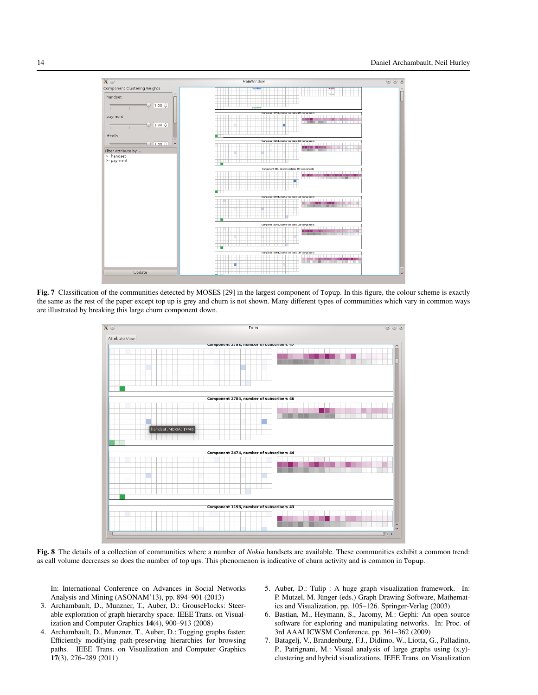

Fig. 7 Classification of the communities detected by MOSES [29] in the largest component of Topup. In this figure, the colour scheme is exactly the same as the rest of the paper except top up is grey and churn is not shown. Many different types of communities which vary in common ways are illustrated by breaking this large churn component down.



Fig. 8 The details of a collection of communities where a number of *Nokia* handsets are available. These communities exhibit a common trend: as call volume decreases so does the number of top ups. This phenomenon is indicative of churn activity and is common in Topup.

In: International Conference on Advances in Social Networks Analysis and Mining (ASONAM'13), pp. 894–901 (2013)

- 3. Archambault, D., Munzner, T., Auber, D.: GrouseFlocks: Steerable exploration of graph hierarchy space. IEEE Trans. on Visualization and Computer Graphics 14(4), 900–913 (2008)
- 4. Archambault, D., Munzner, T., Auber, D.: Tugging graphs faster: Efficiently modifying path-preserving hierarchies for browsing paths. IEEE Trans. on Visualization and Computer Graphics 17(3), 276–289 (2011)
- 5. Auber, D.: Tulip : A huge graph visualization framework. In: P. Mutzel, M. Jünger (eds.) Graph Drawing Software, Mathematics and Visualization, pp. 105–126. Springer-Verlag (2003)
- 6. Bastian, M., Heymann, S., Jacomy, M.: Gephi: An open source software for exploring and manipulating networks. In: Proc. of 3rd AAAI ICWSM Conference, pp. 361–362 (2009)
- 7. Batagelj, V., Brandenburg, F.J., Didimo, W., Liotta, G., Palladino, P., Patrignani, M.: Visual analysis of large graphs using (x,y) clustering and hybrid visualizations. IEEE Trans. on Visualization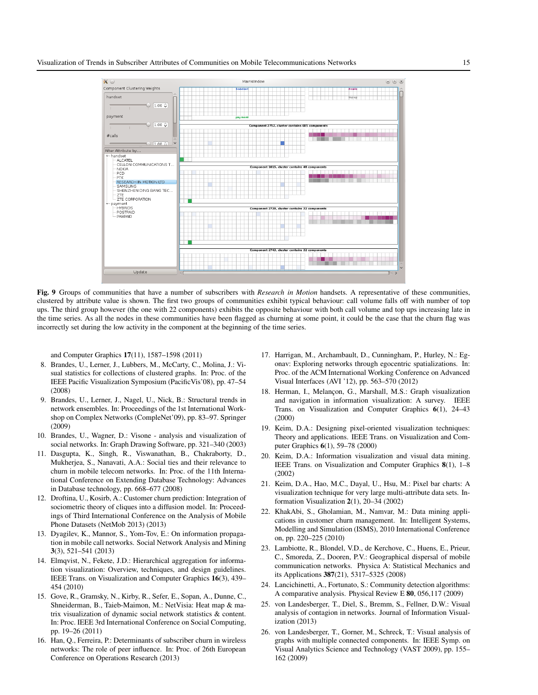

Fig. 9 Groups of communities that have a number of subscribers with *Research in Motion* handsets. A representative of these communities, clustered by attribute value is shown. The first two groups of communities exhibit typical behaviour: call volume falls off with number of top ups. The third group however (the one with 22 components) exhibits the opposite behaviour with both call volume and top ups increasing late in the time series. As all the nodes in these communities have been flagged as churning at some point, it could be the case that the churn flag was incorrectly set during the low activity in the component at the beginning of the time series.

and Computer Graphics 17(11), 1587–1598 (2011)

- 8. Brandes, U., Lerner, J., Lubbers, M., McCarty, C., Molina, J.: Visual statistics for collections of clustered graphs. In: Proc. of the IEEE Pacific Visualization Symposium (PacificVis'08), pp. 47–54 (2008)
- 9. Brandes, U., Lerner, J., Nagel, U., Nick, B.: Structural trends in network ensembles. In: Proceedings of the 1st International Workshop on Complex Networks (CompleNet'09), pp. 83–97. Springer (2009)
- 10. Brandes, U., Wagner, D.: Visone analysis and visualization of social networks. In: Graph Drawing Software, pp. 321–340 (2003)
- 11. Dasgupta, K., Singh, R., Viswanathan, B., Chakraborty, D., Mukherjea, S., Nanavati, A.A.: Social ties and their relevance to churn in mobile telecom networks. In: Proc. of the 11th International Conference on Extending Database Technology: Advances in Database technology, pp. 668–677 (2008)
- 12. Droftina, U., Kosirb, A.: Customer churn prediction: Integration of sociometric theory of cliques into a diffusion model. In: Proceedings of Third International Conference on the Analysis of Mobile Phone Datasets (NetMob 2013) (2013)
- 13. Dyagilev, K., Mannor, S., Yom-Tov, E.: On information propagation in mobile call networks. Social Network Analysis and Mining 3(3), 521–541 (2013)
- 14. Elmqvist, N., Fekete, J.D.: Hierarchical aggregation for information visualization: Overview, techniques, and design guidelines. IEEE Trans. on Visualization and Computer Graphics 16(3), 439– 454 (2010)
- 15. Gove, R., Gramsky, N., Kirby, R., Sefer, E., Sopan, A., Dunne, C., Shneiderman, B., Taieb-Maimon, M.: NetVisia: Heat map & matrix visualization of dynamic social network statistics & content. In: Proc. IEEE 3rd International Conference on Social Computing, pp. 19–26 (2011)
- 16. Han, Q., Ferreira, P.: Determinants of subscriber churn in wireless networks: The role of peer influence. In: Proc. of 26th European Conference on Operations Research (2013)
- 17. Harrigan, M., Archambault, D., Cunningham, P., Hurley, N.: Egonav: Exploring networks through egocentric spatializations. In: Proc. of the ACM International Working Conference on Advanced Visual Interfaces (AVI '12), pp. 563–570 (2012)
- 18. Herman, I., Melançon, G., Marshall, M.S.: Graph visualization and navigation in information visualization: A survey. IEEE Trans. on Visualization and Computer Graphics 6(1), 24–43 (2000)
- 19. Keim, D.A.: Designing pixel-oriented visualization techniques: Theory and applications. IEEE Trans. on Visualization and Computer Graphics 6(1), 59–78 (2000)
- 20. Keim, D.A.: Information visualization and visual data mining. IEEE Trans. on Visualization and Computer Graphics 8(1), 1–8 (2002)
- 21. Keim, D.A., Hao, M.C., Dayal, U., Hsu, M.: Pixel bar charts: A visualization technique for very large multi-attribute data sets. Information Visualization 2(1), 20–34 (2002)
- 22. KhakAbi, S., Gholamian, M., Namvar, M.: Data mining applications in customer churn management. In: Intelligent Systems, Modelling and Simulation (ISMS), 2010 International Conference on, pp. 220–225 (2010)
- 23. Lambiotte, R., Blondel, V.D., de Kerchove, C., Huens, E., Prieur, C., Smoreda, Z., Dooren, P.V.: Geographical dispersal of mobile communication networks. Physica A: Statistical Mechanics and its Applications 387(21), 5317–5325 (2008)
- 24. Lancichinetti, A., Fortunato, S.: Community detection algorithms: A comparative analysis. Physical Review E 80, 056,117 (2009)
- 25. von Landesberger, T., Diel, S., Bremm, S., Fellner, D.W.: Visual analysis of contagion in networks. Journal of Information Visualization (2013)
- 26. von Landesberger, T., Gorner, M., Schreck, T.: Visual analysis of graphs with multiple connected components. In: IEEE Symp. on Visual Analytics Science and Technology (VAST 2009), pp. 155– 162 (2009)